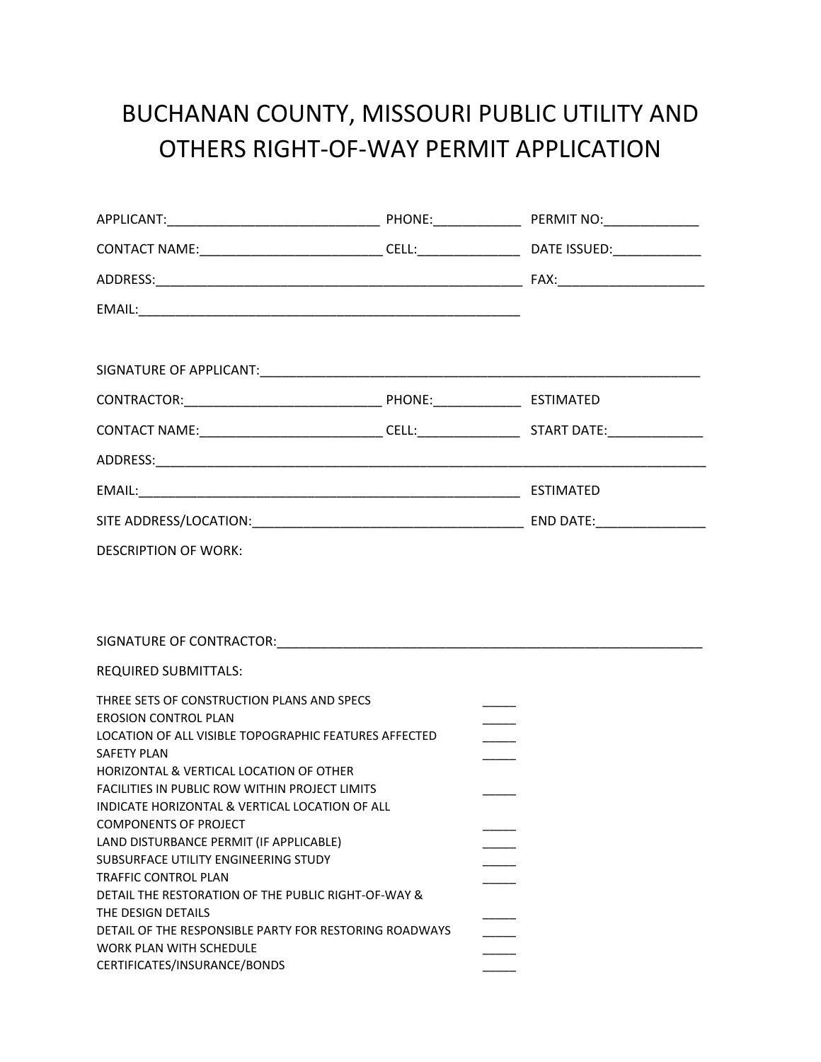## BUCHANAN COUNTY, MISSOURI PUBLIC UTILITY AND OTHERS RIGHT‐OF‐WAY PERMIT APPLICATION

| SIGNATURE OF APPLICANT: Same and the contract of the contract of the contract of the contract of the contract of the contract of the contract of the contract of the contract of the contract of the contract of the contract                                                                                                                                                                                  |
|----------------------------------------------------------------------------------------------------------------------------------------------------------------------------------------------------------------------------------------------------------------------------------------------------------------------------------------------------------------------------------------------------------------|
|                                                                                                                                                                                                                                                                                                                                                                                                                |
|                                                                                                                                                                                                                                                                                                                                                                                                                |
|                                                                                                                                                                                                                                                                                                                                                                                                                |
|                                                                                                                                                                                                                                                                                                                                                                                                                |
|                                                                                                                                                                                                                                                                                                                                                                                                                |
|                                                                                                                                                                                                                                                                                                                                                                                                                |
|                                                                                                                                                                                                                                                                                                                                                                                                                |
|                                                                                                                                                                                                                                                                                                                                                                                                                |
| THREE SETS OF CONSTRUCTION PLANS AND SPECS<br>LOCATION OF ALL VISIBLE TOPOGRAPHIC FEATURES AFFECTED<br>HORIZONTAL & VERTICAL LOCATION OF OTHER<br>FACILITIES IN PUBLIC ROW WITHIN PROJECT LIMITS<br>INDICATE HORIZONTAL & VERTICAL LOCATION OF ALL<br>LAND DISTURBANCE PERMIT (IF APPLICABLE)<br>DETAIL THE RESTORATION OF THE PUBLIC RIGHT-OF-WAY &<br>DETAIL OF THE RESPONSIBLE PARTY FOR RESTORING ROADWAYS |